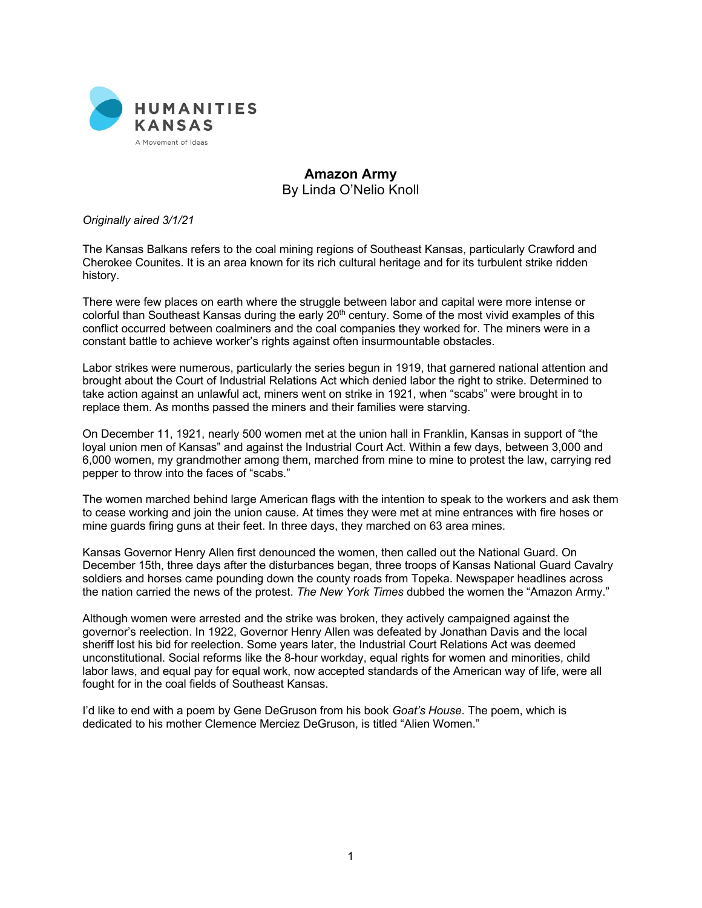

## **Amazon Army** By Linda O'Nelio Knoll

## *Originally aired 3/1/21*

The Kansas Balkans refers to the coal mining regions of Southeast Kansas, particularly Crawford and Cherokee Counites. It is an area known for its rich cultural heritage and for its turbulent strike ridden history.

There were few places on earth where the struggle between labor and capital were more intense or colorful than Southeast Kansas during the early 20<sup>th</sup> century. Some of the most vivid examples of this conflict occurred between coalminers and the coal companies they worked for. The miners were in a constant battle to achieve worker's rights against often insurmountable obstacles.

Labor strikes were numerous, particularly the series begun in 1919, that garnered national attention and brought about the Court of Industrial Relations Act which denied labor the right to strike. Determined to take action against an unlawful act, miners went on strike in 1921, when "scabs" were brought in to replace them. As months passed the miners and their families were starving.

On December 11, 1921, nearly 500 women met at the union hall in Franklin, Kansas in support of "the loyal union men of Kansas" and against the Industrial Court Act. Within a few days, between 3,000 and 6,000 women, my grandmother among them, marched from mine to mine to protest the law, carrying red pepper to throw into the faces of "scabs."

The women marched behind large American flags with the intention to speak to the workers and ask them to cease working and join the union cause. At times they were met at mine entrances with fire hoses or mine guards firing guns at their feet. In three days, they marched on 63 area mines.

Kansas Governor Henry Allen first denounced the women, then called out the National Guard. On December 15th, three days after the disturbances began, three troops of Kansas National Guard Cavalry soldiers and horses came pounding down the county roads from Topeka. Newspaper headlines across the nation carried the news of the protest. *The New York Times* dubbed the women the "Amazon Army."

Although women were arrested and the strike was broken, they actively campaigned against the governor's reelection. In 1922, Governor Henry Allen was defeated by Jonathan Davis and the local sheriff lost his bid for reelection. Some years later, the Industrial Court Relations Act was deemed unconstitutional. Social reforms like the 8-hour workday, equal rights for women and minorities, child labor laws, and equal pay for equal work, now accepted standards of the American way of life, were all fought for in the coal fields of Southeast Kansas.

I'd like to end with a poem by Gene DeGruson from his book *Goat's House*. The poem, which is dedicated to his mother Clemence Merciez DeGruson, is titled "Alien Women."